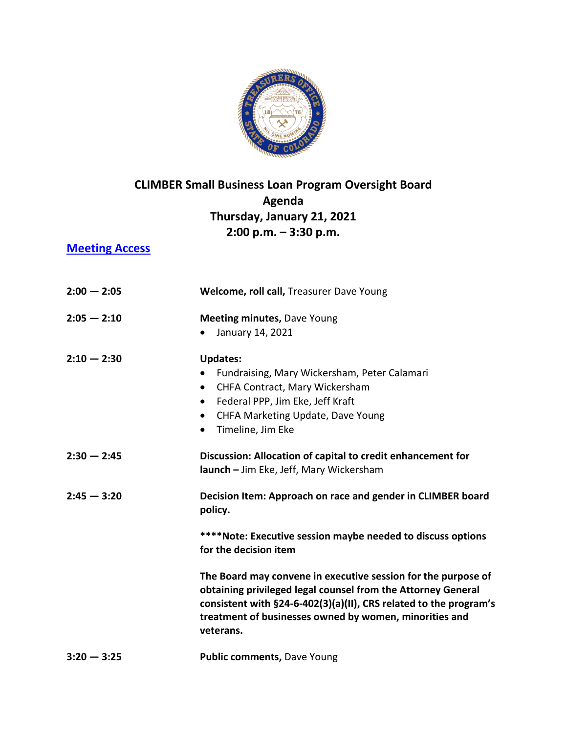

## **CLIMBER Small Business Loan Program Oversight Board Agenda Thursday, January 21, 2021 2:00 p.m. – 3:30 p.m.**

## **[Meeting Access](https://us02web.zoom.us/j/85015413621?pwd=VXZNVTB0TUVNcXFoSTh0U2I5RExndz09)**

| $2:00 - 2:05$ | Welcome, roll call, Treasurer Dave Young                                                                                                                                                                                                                                  |
|---------------|---------------------------------------------------------------------------------------------------------------------------------------------------------------------------------------------------------------------------------------------------------------------------|
| $2:05 - 2:10$ | <b>Meeting minutes, Dave Young</b><br>January 14, 2021<br>$\bullet$                                                                                                                                                                                                       |
| $2:10 - 2:30$ | <b>Updates:</b><br>Fundraising, Mary Wickersham, Peter Calamari<br>CHFA Contract, Mary Wickersham<br>$\bullet$<br>Federal PPP, Jim Eke, Jeff Kraft<br>$\bullet$<br>CHFA Marketing Update, Dave Young<br>$\bullet$<br>Timeline, Jim Eke<br>$\bullet$                       |
| $2:30 - 2:45$ | Discussion: Allocation of capital to credit enhancement for<br>launch - Jim Eke, Jeff, Mary Wickersham                                                                                                                                                                    |
| $2:45 - 3:20$ | Decision Item: Approach on race and gender in CLIMBER board<br>policy.                                                                                                                                                                                                    |
|               | ****Note: Executive session maybe needed to discuss options<br>for the decision item                                                                                                                                                                                      |
|               | The Board may convene in executive session for the purpose of<br>obtaining privileged legal counsel from the Attorney General<br>consistent with §24-6-402(3)(a)(II), CRS related to the program's<br>treatment of businesses owned by women, minorities and<br>veterans. |
| $3:20 - 3:25$ | <b>Public comments, Dave Young</b>                                                                                                                                                                                                                                        |